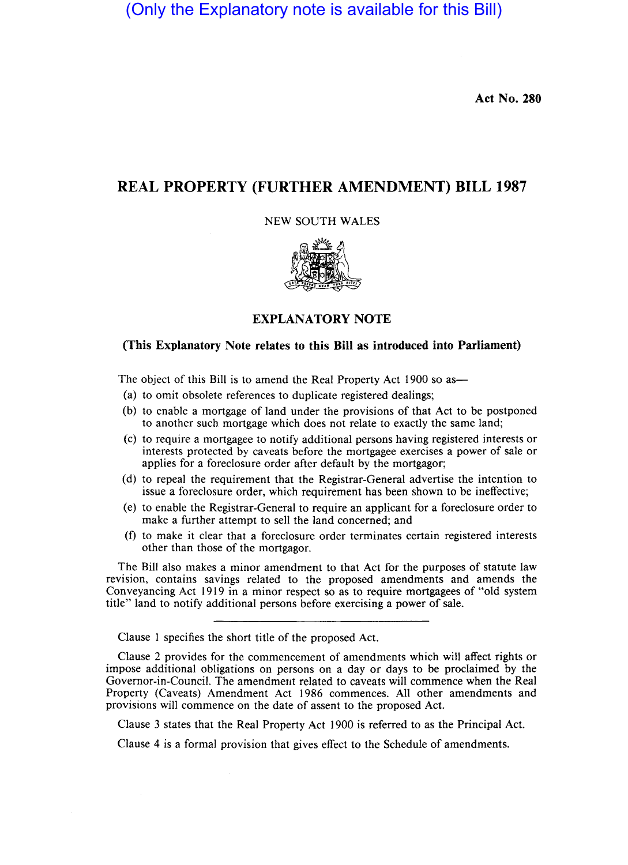(Only the Explanatory note is available for this Bill)

**Act No. 280** 

## **REAL PROPERTY (FURTHER AMENDMENT) BILL 1987**

NEW SOUTH WALES



## **EXPLANATORY NOTE**

## **(This Explanatory Note relates to this Bill as introduced into Parliament)**

The object of this Bill is to amend the Real Property Act 1900 so as—

- (a) to omit obsolete references to duplicate registered dealings;
- (b) to enable a mortgage of land under the provisions of that Act to be postponed to another such mortgage which does not relate to exactly the same land;
- (c) to require a mortgagee to notify additional persons having registered interests or interests protected by caveats before the mortgagee exercises a power of sale or applies for a foreclosure order after default by the mortgagor;
- (d) to repeal the requirement that the Registrar-General advertise the intention to issue a foreclosure order, which requirement has been shown to be ineffective;
- (e) to enable the Registrar-General to require an applicant for a foreclosure order to make a further attempt to sell the land concerned; and
- (f) to make it clear that a foreclosure order terminates certain registered interests other than those of the mortgagor.

The Bill also makes a minor amendment to that Act for the purposes of statute law revision, contains savings related to the proposed amendments and amends the Conveyancing Act 1919 in a minor respect so as to require mortgagees of "old system title" land to notify additional persons before exercising a power of sale.

Clause I specifies the short title of the proposed Act.

Clause 2 provides for the commencement of amendments which will affect rights or impose additional obligations on persons on a day or days to be proclaimed by the Governor-in-Council. The amendment related to caveats will commence when the Real Property (Caveats) Amendment Act 1986 commences. All other amendments and provisions will commence on the date of assent to the proposed Act.

Clause 3 states that the Real Property Act 1900 is referred to as the Principal Act.

Clause 4 is a formal provision that gives effect to the Schedule of amendments.